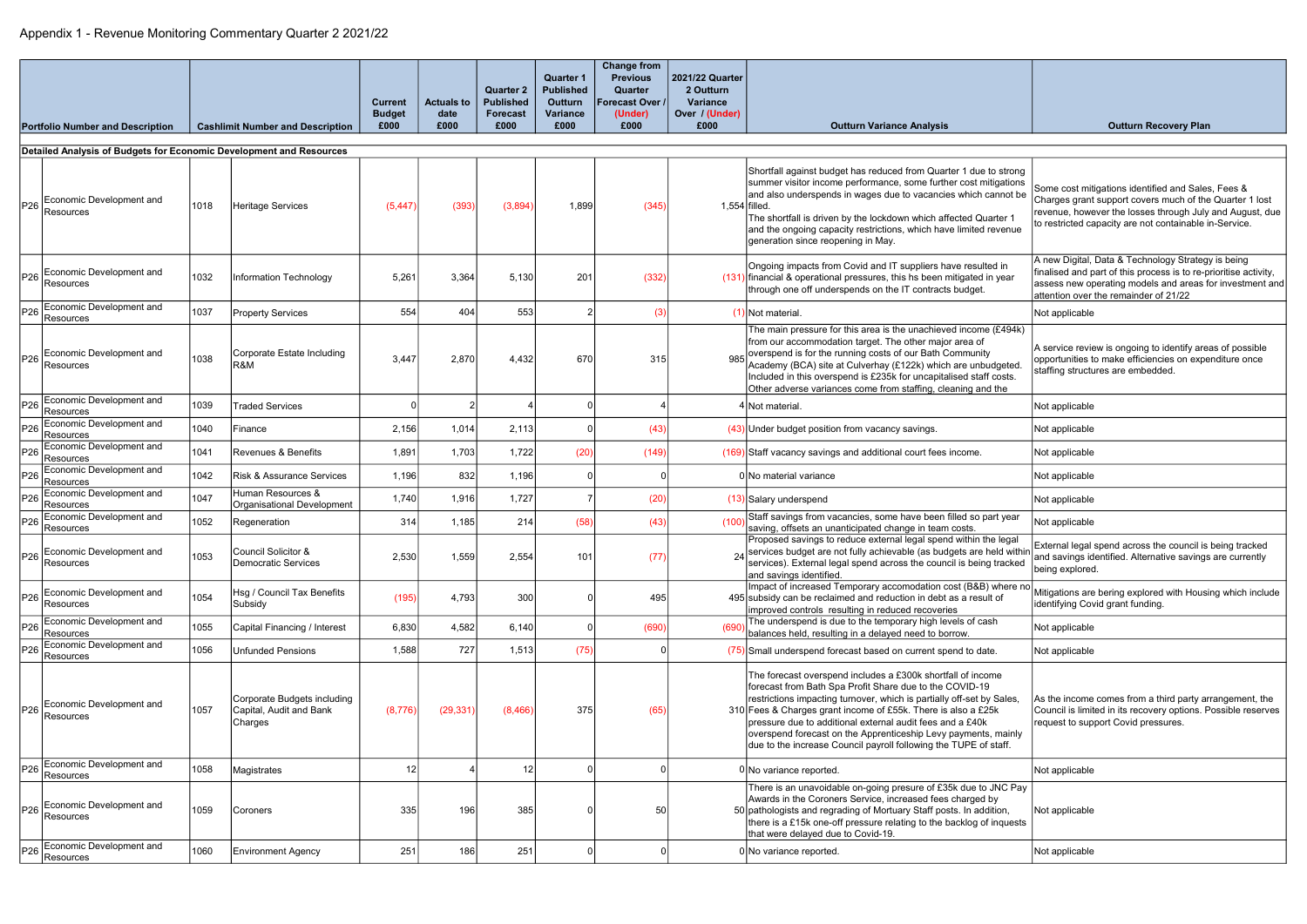|                 | <b>Portfolio Number and Description</b>                             |      | <b>Cashlimit Number and Description</b>                           | Current<br><b>Budget</b><br>£000 | <b>Actuals to</b><br>date<br>£000 | <b>Quarter 2</b><br><b>Published</b><br><b>Forecast</b><br>£000 | <b>Quarter 1</b><br><b>Published</b><br><b>Outturn</b><br>Variance<br>£000 | <b>Change from</b><br><b>Previous</b><br>Quarter<br>Forecast Over /<br>(Under)<br>£000 | 2021/22 Quarter<br>2 Outturn<br><b>Variance</b><br>Over / (Under)<br>£000 | <b>Outturn Variance Analysis</b>                                                                                                                                                                                                                                                                                                                                                                                                                                    | <b>Outturn Recovery Plan</b>                                                                                                                                                                                                        |
|-----------------|---------------------------------------------------------------------|------|-------------------------------------------------------------------|----------------------------------|-----------------------------------|-----------------------------------------------------------------|----------------------------------------------------------------------------|----------------------------------------------------------------------------------------|---------------------------------------------------------------------------|---------------------------------------------------------------------------------------------------------------------------------------------------------------------------------------------------------------------------------------------------------------------------------------------------------------------------------------------------------------------------------------------------------------------------------------------------------------------|-------------------------------------------------------------------------------------------------------------------------------------------------------------------------------------------------------------------------------------|
|                 | Detailed Analysis of Budgets for Economic Development and Resources |      |                                                                   |                                  |                                   |                                                                 |                                                                            |                                                                                        |                                                                           |                                                                                                                                                                                                                                                                                                                                                                                                                                                                     |                                                                                                                                                                                                                                     |
|                 | Economic Development and<br><b>Resources</b>                        | 1018 | <b>Heritage Services</b>                                          | (5, 447)                         | (393)                             | (3,894)                                                         | 1,899                                                                      | (345)                                                                                  | $1,554$ filled.                                                           | Shortfall against budget has reduced from Quarter 1 due to strong<br>summer visitor income performance, some further cost mitigations<br>and also underspends in wages due to vacancies which cannot be<br>The shortfall is driven by the lockdown which affected Quarter 1<br>and the ongoing capacity restrictions, which have limited revenue<br>generation since reopening in May.                                                                              | Some cost mitigations identified and Sales, Fees &<br>Charges grant support covers much of the Quarter 1 lost<br>revenue, however the losses through July and August, due<br>to restricted capacity are not containable in-Service. |
| P26             | Economic Development and<br>Resources                               | 1032 | Information Technology                                            | 5,261                            | 3,364                             | 5,130                                                           | 201                                                                        | (332)                                                                                  |                                                                           | Ongoing impacts from Covid and IT suppliers have resulted in<br>$(131)$ financial & operational pressures, this hs been mitigated in year<br>through one off underspends on the IT contracts budget.                                                                                                                                                                                                                                                                | A new Digital, Data & Technology Strategy is being<br>finalised and part of this process is to re-prioritise activity,<br>assess new operating models and areas for investment and<br>attention over the remainder of 21/22         |
| P26             | Economic Development and<br>Resources                               | 1037 | <b>Property Services</b>                                          | 554                              | 404                               | 553                                                             |                                                                            | (3                                                                                     |                                                                           | I) Not material.                                                                                                                                                                                                                                                                                                                                                                                                                                                    | Not applicable                                                                                                                                                                                                                      |
| P26             | Economic Development and<br>Resources                               | 1038 | Corporate Estate Including<br>R&M                                 | 3,447                            | 2,870                             | 4,432                                                           | 670                                                                        | 315                                                                                    |                                                                           | The main pressure for this area is the unachieved income (£494k)<br>from our accommodation target. The other major area of<br>overspend is for the running costs of our Bath Community<br>Academy (BCA) site at Culverhay (£122k) which are unbudgeted.<br>Included in this overspend is £235k for uncapitalised staff costs.<br>Other adverse variances come from staffing, cleaning and the                                                                       | A service review is ongoing to identify areas of possible<br>opportunities to make efficiencies on expenditure once<br>staffing structures are embedded.                                                                            |
| P26             | Economic Development and<br>Resources                               | 1039 | <b>Traded Services</b>                                            |                                  |                                   |                                                                 |                                                                            |                                                                                        |                                                                           | 4 Not material.                                                                                                                                                                                                                                                                                                                                                                                                                                                     | Not applicable                                                                                                                                                                                                                      |
| P26             | Economic Development and<br>Resources                               | 1040 | Finance                                                           | 2,156                            | 1,014                             | 2,113                                                           |                                                                            | (43)                                                                                   |                                                                           | $(43)$ Under budget position from vacancy savings.                                                                                                                                                                                                                                                                                                                                                                                                                  | Not applicable                                                                                                                                                                                                                      |
| P <sub>26</sub> | Economic Development and<br>Resources                               | 1041 | Revenues & Benefits                                               | 1,891                            | 1,703                             | 1,722                                                           | (20)                                                                       | (149)                                                                                  |                                                                           | (169) Staff vacancy savings and additional court fees income.                                                                                                                                                                                                                                                                                                                                                                                                       | Not applicable                                                                                                                                                                                                                      |
| P <sub>26</sub> | Economic Development and<br>Resources                               | 1042 | Risk & Assurance Services                                         | 1,196                            | 832                               | 1,196                                                           |                                                                            |                                                                                        |                                                                           | 0 No material variance                                                                                                                                                                                                                                                                                                                                                                                                                                              | Not applicable                                                                                                                                                                                                                      |
| P <sub>26</sub> | Economic Development and<br>Resources                               | 1047 | Human Resources &<br>Organisational Development                   | 1,740                            | 1,916                             | 1,727                                                           |                                                                            | (20)                                                                                   |                                                                           | (13) Salary underspend                                                                                                                                                                                                                                                                                                                                                                                                                                              | Not applicable                                                                                                                                                                                                                      |
| P26             | Economic Development and<br>Resources                               | 1052 | Regeneration                                                      | 314                              | 1,185                             | 214                                                             | (58)                                                                       | (43)                                                                                   |                                                                           | Staff savings from vacancies, some have been filled so part year<br>saving, offsets an unanticipated change in team costs.                                                                                                                                                                                                                                                                                                                                          | Not applicable                                                                                                                                                                                                                      |
|                 | Economic Development and<br>$P26$ $\sqrt{\frac{L}{R}}$ Resources    | 1053 | Council Solicitor &<br>Democratic Services                        | 2,530                            | 1,559                             | 2,554                                                           | 101                                                                        | (77)                                                                                   |                                                                           | Proposed savings to reduce external legal spend within the legal<br>24 services budget are not fully achievable (as budgets are held within<br>services). External legal spend across the council is being tracked<br>and savings identified.                                                                                                                                                                                                                       | External legal spend across the council is being tracked<br>and savings identified. Alternative savings are currently<br>being explored.                                                                                            |
| P26             | Economic Development and<br>Resources                               | 1054 | Hsg / Council Tax Benefits<br>Subsidy                             | (195)                            | 4,793                             | 300                                                             |                                                                            | 495                                                                                    |                                                                           | Impact of increased Temporary accomodation cost (B&B) where no<br>495 subsidy can be reclaimed and reduction in debt as a result of<br>improved controls resulting in reduced recoveries                                                                                                                                                                                                                                                                            | Mitigations are bering explored with Housing which include<br>identifying Covid grant funding.                                                                                                                                      |
| P26             | Economic Development and<br>Resources                               | 1055 | Capital Financing / Interest                                      | 6,830                            | 4,582                             | 6,140                                                           |                                                                            | (690)                                                                                  |                                                                           | The underspend is due to the temporary high levels of cash<br>balances held, resulting in a delayed need to borrow.                                                                                                                                                                                                                                                                                                                                                 | Not applicable                                                                                                                                                                                                                      |
| P <sub>26</sub> | Economic Development and<br>Resources                               | 1056 | <b>Unfunded Pensions</b>                                          | 1,588                            | 727                               | 1,513                                                           | (75)                                                                       |                                                                                        |                                                                           | $(75)$ Small underspend forecast based on current spend to date.                                                                                                                                                                                                                                                                                                                                                                                                    | Not applicable                                                                                                                                                                                                                      |
| P26             | Economic Development and<br>Resources                               | 1057 | Corporate Budgets including<br>Capital, Audit and Bank<br>Charges | (8,776)                          | (29, 331)                         | (8, 466)                                                        | 375                                                                        | (65)                                                                                   |                                                                           | The forecast overspend includes a £300k shortfall of income<br>forecast from Bath Spa Profit Share due to the COVID-19<br>restrictions impacting turnover, which is partially off-set by Sales,<br>310 Fees & Charges grant income of £55k. There is also a £25k<br>pressure due to additional external audit fees and a £40k<br>overspend forecast on the Apprenticeship Levy payments, mainly<br>due to the increase Council payroll following the TUPE of staff. | As the income comes from a third party arrangement, the<br>Council is limited in its recovery options. Possible reserves<br>request to support Covid pressures.                                                                     |
| P26             | Economic Development and<br>Resources                               | 1058 | Magistrates                                                       | 12                               |                                   | 12 <sup>1</sup>                                                 |                                                                            |                                                                                        |                                                                           | 0 No variance reported.                                                                                                                                                                                                                                                                                                                                                                                                                                             | Not applicable                                                                                                                                                                                                                      |
| P26             | Economic Development and<br>Resources                               | 1059 | Coroners                                                          | 335                              | 196                               | 385                                                             |                                                                            | 50                                                                                     |                                                                           | There is an unavoidable on-going presure of £35k due to JNC Pay<br>Awards in the Coroners Service, increased fees charged by<br>50 pathologists and regrading of Mortuary Staff posts. In addition,<br>there is a £15k one-off pressure relating to the backlog of inquests<br>that were delayed due to Covid-19.                                                                                                                                                   | Not applicable                                                                                                                                                                                                                      |
| P <sub>26</sub> | Economic Development and<br>Resources                               | 1060 | <b>Environment Agency</b>                                         | 251                              | 186                               | 251                                                             |                                                                            |                                                                                        |                                                                           | 0 No variance reported.                                                                                                                                                                                                                                                                                                                                                                                                                                             | Not applicable                                                                                                                                                                                                                      |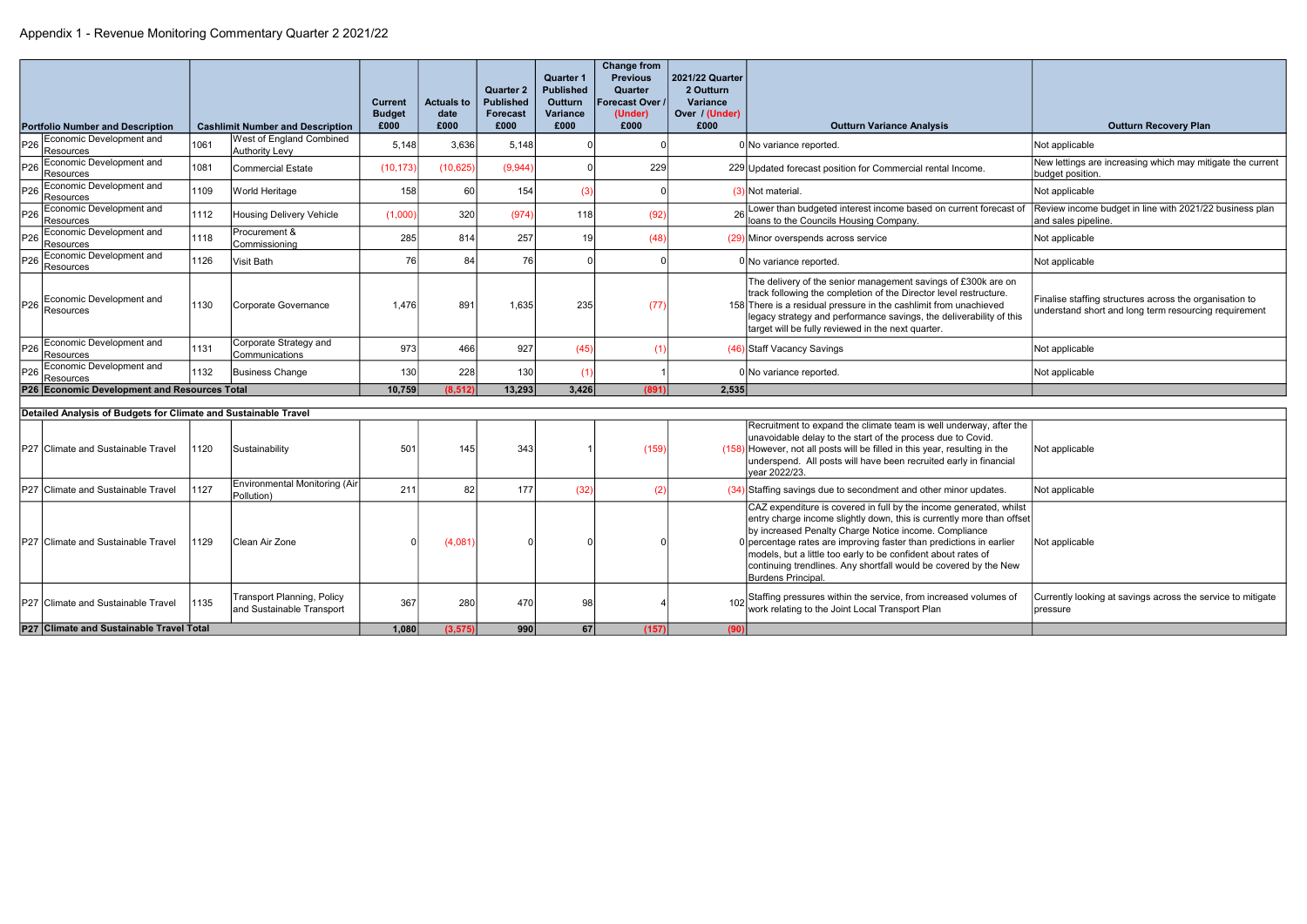|                                                                 |      |                                                                |                                 |                           | <b>Quarter 2</b>                    | <b>Quarter 1</b><br><b>Published</b> | <b>Change from</b><br><b>Previous</b><br>Quarter | 2021/22 Quarter<br>2 Outturn      |                                                                                                                                                                                                                                                                                                                                                                                                                                                 |                                                                                                                  |
|-----------------------------------------------------------------|------|----------------------------------------------------------------|---------------------------------|---------------------------|-------------------------------------|--------------------------------------|--------------------------------------------------|-----------------------------------|-------------------------------------------------------------------------------------------------------------------------------------------------------------------------------------------------------------------------------------------------------------------------------------------------------------------------------------------------------------------------------------------------------------------------------------------------|------------------------------------------------------------------------------------------------------------------|
|                                                                 |      |                                                                | <b>Current</b><br><b>Budget</b> | <b>Actuals to</b><br>date | <b>Published</b><br><b>Forecast</b> | <b>Outturn</b><br><b>Variance</b>    | orecast Over<br>(Under)                          | <b>Variance</b><br>Over / (Under) |                                                                                                                                                                                                                                                                                                                                                                                                                                                 |                                                                                                                  |
| <b>Portfolio Number and Description</b>                         |      | <b>Cashlimit Number and Description</b>                        | £000                            | £000                      | £000                                | £000                                 | £000                                             | £000                              | <b>Outturn Variance Analysis</b>                                                                                                                                                                                                                                                                                                                                                                                                                | <b>Outturn Recovery Plan</b>                                                                                     |
| Economic Development and<br>P26<br>Resources                    | 1061 | West of England Combined<br><b>Authority Levy</b>              | 5,148                           | 3,636                     | 5,148                               |                                      |                                                  |                                   | 0 No variance reported.                                                                                                                                                                                                                                                                                                                                                                                                                         | Not applicable                                                                                                   |
| Economic Development and<br>P <sub>26</sub><br>Resources        | 1081 | Commercial Estate                                              | (10, 173)                       | (10, 625)                 | (9,944)                             | $\Omega$                             | 229                                              |                                   | 229 Updated forecast position for Commercial rental Income.                                                                                                                                                                                                                                                                                                                                                                                     | New lettings are increasing which may mitigate the current<br>budget position.                                   |
| Economic Development and<br>P <sub>26</sub><br>Resources        | 1109 | World Heritage                                                 | 158                             | 60                        | 154                                 | (3)                                  |                                                  |                                   | $(3)$ Not material.                                                                                                                                                                                                                                                                                                                                                                                                                             | Not applicable                                                                                                   |
| Economic Development and<br>P26<br>Resources                    | 1112 | <b>Housing Delivery Vehicle</b>                                | (1,000)                         | 320                       | (974)                               | 118                                  | (92)                                             |                                   | Lower than budgeted interest income based on current forecast of<br>loans to the Councils Housing Company.                                                                                                                                                                                                                                                                                                                                      | Review income budget in line with 2021/22 business plan<br>and sales pipeline.                                   |
| Economic Development and<br>P <sub>26</sub><br>Resources        | 1118 | Procurement &<br>Commissioning                                 | 285                             | 814                       | 257                                 | 19                                   | (48)                                             |                                   | (29) Minor overspends across service                                                                                                                                                                                                                                                                                                                                                                                                            | Not applicable                                                                                                   |
| Economic Development and<br>P <sub>26</sub><br>Resources        | 1126 | Visit Bath                                                     | 76                              | 84                        | 76                                  |                                      |                                                  |                                   | 0 No variance reported.                                                                                                                                                                                                                                                                                                                                                                                                                         | Not applicable                                                                                                   |
| Economic Development and<br>P26<br>Resources                    | 1130 | Corporate Governance                                           | 1.476                           | 891                       | 1.635                               | 235                                  | (77)                                             |                                   | The delivery of the senior management savings of £300k are on<br>track following the completion of the Director level restructure.<br>158 There is a residual pressure in the cashlimit from unachieved<br>legacy strategy and performance savings, the deliverability of this<br>target will be fully reviewed in the next quarter.                                                                                                            | Finalise staffing structures across the organisation to<br>understand short and long term resourcing requirement |
| P26 Economic Development and<br><b>Resources</b>                | 1131 | Corporate Strategy and<br>Communications                       | 973                             | 466                       | 927                                 | (45)                                 | (1)                                              |                                   | (46) Staff Vacancy Savings                                                                                                                                                                                                                                                                                                                                                                                                                      | Not applicable                                                                                                   |
| P26 Economic Development and<br><b>Resources</b>                | 1132 | Business Change                                                | 130                             | 228                       | 130                                 | (1)                                  |                                                  |                                   | 0 No variance reported.                                                                                                                                                                                                                                                                                                                                                                                                                         | Not applicable                                                                                                   |
| P26 Economic Development and Resources Total                    |      |                                                                | 10,759                          | (8.512)                   | 13,293                              | 3,426                                | (891)                                            | 2,535                             |                                                                                                                                                                                                                                                                                                                                                                                                                                                 |                                                                                                                  |
| Detailed Analysis of Budgets for Climate and Sustainable Travel |      |                                                                |                                 |                           |                                     |                                      |                                                  |                                   |                                                                                                                                                                                                                                                                                                                                                                                                                                                 |                                                                                                                  |
| P27 Climate and Sustainable Travel                              | 1120 | Sustainability                                                 | 501                             | 145                       | 343                                 |                                      | (159)                                            |                                   | Recruitment to expand the climate team is well underway, after the<br>unavoidable delay to the start of the process due to Covid.<br>$(158)$ However, not all posts will be filled in this year, resulting in the<br>underspend. All posts will have been recruited early in financial<br>year 2022/23.                                                                                                                                         | Not applicable                                                                                                   |
| P27 Climate and Sustainable Travel                              | 1127 | Environmental Monitoring (Air<br>Pollution)                    | 211                             | 82                        | 177                                 | (32)                                 | - (2                                             |                                   | $(34)$ Staffing savings due to secondment and other minor updates.                                                                                                                                                                                                                                                                                                                                                                              | Not applicable                                                                                                   |
| P27 Climate and Sustainable Travel                              | 1129 | lClean Air Zone                                                |                                 | (4,081)                   |                                     |                                      |                                                  |                                   | CAZ expenditure is covered in full by the income generated, whilst<br>entry charge income slightly down, this is currently more than offset<br>by increased Penalty Charge Notice income. Compliance<br>$0$ percentage rates are improving faster than predictions in earlier<br>models, but a little too early to be confident about rates of<br>continuing trendlines. Any shortfall would be covered by the New<br><b>Burdens Principal.</b> | Not applicable                                                                                                   |
| P27 Climate and Sustainable Travel                              | 1135 | <b>Transport Planning, Policy</b><br>and Sustainable Transport | 367                             | 280                       | 470                                 | 98                                   |                                                  |                                   | Staffing pressures within the service, from increased volumes of<br>work relating to the Joint Local Transport Plan                                                                                                                                                                                                                                                                                                                             | Currently looking at savings across the service to mitigate<br>pressure                                          |
| P27 Climate and Sustainable Travel Total                        |      |                                                                | 1,080                           | (3.575)                   | 990                                 | 67                                   | (157)                                            | (90)                              |                                                                                                                                                                                                                                                                                                                                                                                                                                                 |                                                                                                                  |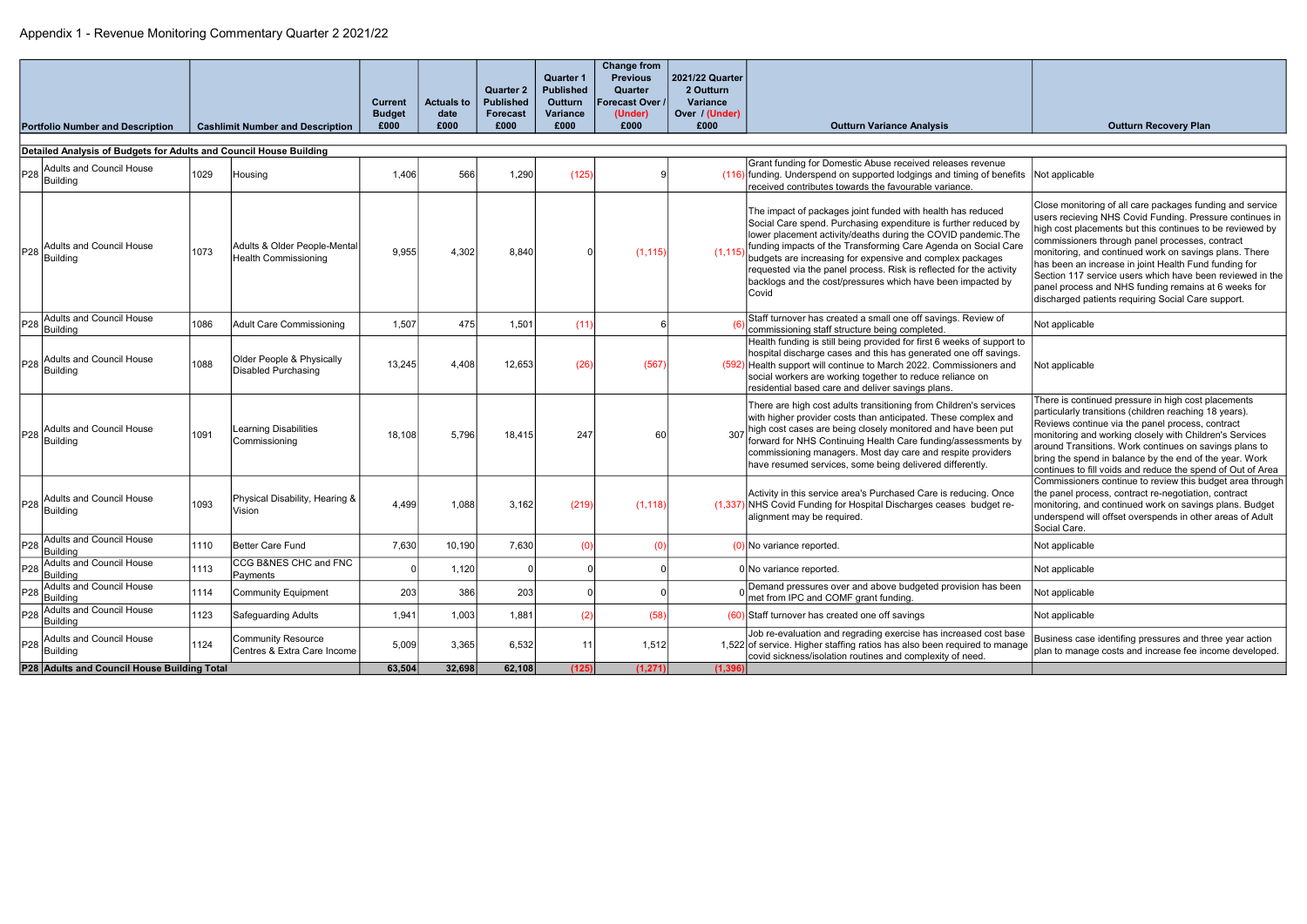|                                             |                                                                    |      |                                                             | <b>Current</b><br><b>Budget</b> | <b>Actuals to</b><br>date | <b>Quarter 2</b><br><b>Published</b><br><b>Forecast</b> | <b>Quarter 1</b><br><b>Published</b><br>Outturn<br>Variance | <b>Change from</b><br><b>Previous</b><br>Quarter<br>Forecast Over /<br>(Under) | 2021/22 Quarter<br>2 Outturn<br><b>Variance</b><br>Over / (Under) |                                                                                                                                                                                                                                                                                                                                                                                                                                                                                       |                                                                                                                                                                                                                                                                                                                                                                                                                                                                                                                                     |
|---------------------------------------------|--------------------------------------------------------------------|------|-------------------------------------------------------------|---------------------------------|---------------------------|---------------------------------------------------------|-------------------------------------------------------------|--------------------------------------------------------------------------------|-------------------------------------------------------------------|---------------------------------------------------------------------------------------------------------------------------------------------------------------------------------------------------------------------------------------------------------------------------------------------------------------------------------------------------------------------------------------------------------------------------------------------------------------------------------------|-------------------------------------------------------------------------------------------------------------------------------------------------------------------------------------------------------------------------------------------------------------------------------------------------------------------------------------------------------------------------------------------------------------------------------------------------------------------------------------------------------------------------------------|
|                                             | <b>Portfolio Number and Description</b>                            |      | <b>Cashlimit Number and Description</b>                     | £000                            | £000                      | £000                                                    | £000                                                        | £000                                                                           | £000                                                              | <b>Outturn Variance Analysis</b>                                                                                                                                                                                                                                                                                                                                                                                                                                                      | <b>Outturn Recovery Plan</b>                                                                                                                                                                                                                                                                                                                                                                                                                                                                                                        |
|                                             | Detailed Analysis of Budgets for Adults and Council House Building |      |                                                             |                                 |                           |                                                         |                                                             |                                                                                |                                                                   |                                                                                                                                                                                                                                                                                                                                                                                                                                                                                       |                                                                                                                                                                                                                                                                                                                                                                                                                                                                                                                                     |
| P <sub>28</sub>                             | Adults and Council House<br>Building                               | 1029 | Housing                                                     | 1,406                           | 566                       | 1,290                                                   | (125)                                                       |                                                                                |                                                                   | Grant funding for Domestic Abuse received releases revenue<br>(116) funding. Underspend on supported lodgings and timing of benefits Not applicable<br>received contributes towards the favourable variance.                                                                                                                                                                                                                                                                          |                                                                                                                                                                                                                                                                                                                                                                                                                                                                                                                                     |
| P28                                         | Adults and Council House<br>Building                               | 1073 | Adults & Older People-Mental<br><b>Health Commissioning</b> | 9,955                           | 4,302                     | 8,840                                                   |                                                             | (1, 115)                                                                       | (1.115)                                                           | The impact of packages joint funded with health has reduced<br>Social Care spend. Purchasing expenditure is further reduced by<br>lower placement activity/deaths during the COVID pandemic. The<br>funding impacts of the Transforming Care Agenda on Social Care<br>budgets are increasing for expensive and complex packages<br>requested via the panel process. Risk is reflected for the activity<br>backlogs and the cost/pressures which have been impacted by<br><b>Covid</b> | Close monitoring of all care packages funding and service<br>users recieving NHS Covid Funding. Pressure continues in<br>high cost placements but this continues to be reviewed by<br>commissioners through panel processes, contract<br>monitoring, and continued work on savings plans. There<br>has been an increase in joint Health Fund funding for<br>Section 117 service users which have been reviewed in the<br>panel process and NHS funding remains at 6 weeks for<br>discharged patients requiring Social Care support. |
| P28                                         | Adults and Council House<br>Building                               | 1086 | <b>Adult Care Commissioning</b>                             | 1,507                           | 475                       | 1,501                                                   | (11)                                                        |                                                                                |                                                                   | Staff turnover has created a small one off savings. Review of<br>commissioning staff structure being completed.                                                                                                                                                                                                                                                                                                                                                                       | Not applicable                                                                                                                                                                                                                                                                                                                                                                                                                                                                                                                      |
| P28                                         | Adults and Council House<br>Building                               | 1088 | Older People & Physically<br><b>Disabled Purchasing</b>     | 13,245                          | 4.408                     | 12,653                                                  | (26)                                                        | (567)                                                                          |                                                                   | Health funding is still being provided for first 6 weeks of support to<br>hospital discharge cases and this has generated one off savings.<br>(592) Health support will continue to March 2022. Commissioners and<br>social workers are working together to reduce reliance on<br>residential based care and deliver savings plans.                                                                                                                                                   | Not applicable                                                                                                                                                                                                                                                                                                                                                                                                                                                                                                                      |
| P28                                         | Adults and Council House<br>Building                               | 1091 | <b>Learning Disabilities</b><br>Commissioning               | 18,108                          | 5.796                     | 18,415                                                  | 247                                                         | 60                                                                             |                                                                   | There are high cost adults transitioning from Children's services<br>with higher provider costs than anticipated. These complex and<br>307 high cost cases are being closely monitored and have been put<br>forward for NHS Continuing Health Care funding/assessments by<br>commissioning managers. Most day care and respite providers<br>have resumed services, some being delivered differently.                                                                                  | There is continued pressure in high cost placements<br>particularly transitions (children reaching 18 years).<br>Reviews continue via the panel process, contract<br>monitoring and working closely with Children's Services<br>around Transitions. Work continues on savings plans to<br>bring the spend in balance by the end of the year. Work<br>continues to fill voids and reduce the spend of Out of Area                                                                                                                    |
|                                             | Adults and Council House<br>$P28$ Building                         | 1093 | Physical Disability, Hearing &<br>Vision                    | 4,499                           | 1,088                     | 3,162                                                   | (219)                                                       | (1, 118)                                                                       |                                                                   | Activity in this service area's Purchased Care is reducing. Once<br>(1,337) NHS Covid Funding for Hospital Discharges ceases budget re-<br>alignment may be required.                                                                                                                                                                                                                                                                                                                 | Commissioners continue to review this budget area through<br>the panel process, contract re-negotiation, contract<br>monitoring, and continued work on savings plans. Budget<br>underspend will offset overspends in other areas of Adult<br>Social Care.                                                                                                                                                                                                                                                                           |
|                                             | P <sub>28</sub> Adults and Council House<br>Building               | 1110 | Better Care Fund                                            | 7,630                           | 10,190                    | 7,630                                                   |                                                             | (0)                                                                            |                                                                   | ) No variance reported                                                                                                                                                                                                                                                                                                                                                                                                                                                                | Not applicable                                                                                                                                                                                                                                                                                                                                                                                                                                                                                                                      |
| P28                                         | Adults and Council House<br>Building                               | 1113 | CCG B&NES CHC and FNC<br>Payments                           |                                 | 1,120                     |                                                         |                                                             |                                                                                |                                                                   | 0 No variance reported.                                                                                                                                                                                                                                                                                                                                                                                                                                                               | Not applicable                                                                                                                                                                                                                                                                                                                                                                                                                                                                                                                      |
| P <sub>28</sub>                             | Adults and Council House<br>Building                               | 1114 | Community Equipment                                         | 203                             | 386                       | 203                                                     |                                                             |                                                                                |                                                                   | Demand pressures over and above budgeted provision has been<br>met from IPC and COMF grant funding.                                                                                                                                                                                                                                                                                                                                                                                   | Not applicable                                                                                                                                                                                                                                                                                                                                                                                                                                                                                                                      |
| P <sub>28</sub>                             | Adults and Council House<br>Building                               | 1123 | Safeguarding Adults                                         | 1,941                           | 1,003                     | 1,881                                                   | (2)                                                         | (58)                                                                           |                                                                   | $(60)$ Staff turnover has created one off savings                                                                                                                                                                                                                                                                                                                                                                                                                                     | Not applicable                                                                                                                                                                                                                                                                                                                                                                                                                                                                                                                      |
| P <sub>28</sub>                             | Adults and Council House<br>Building                               | 1124 | <b>Community Resource</b><br>Centres & Extra Care Income    | 5,009<br>63,504                 | 3,365                     | 6,532                                                   | 11                                                          | 1,512                                                                          |                                                                   | Job re-evaluation and regrading exercise has increased cost base<br>1,522 of service. Higher staffing ratios has also been required to manage<br>covid sickness/isolation routines and complexity of need.                                                                                                                                                                                                                                                                            | Business case identifing pressures and three year action<br>plan to manage costs and increase fee income developed.                                                                                                                                                                                                                                                                                                                                                                                                                 |
| P28 Adults and Council House Building Total |                                                                    |      |                                                             |                                 | 32,698                    | 62,108                                                  | (125)                                                       | (1, 271)                                                                       | (1, 396)                                                          |                                                                                                                                                                                                                                                                                                                                                                                                                                                                                       |                                                                                                                                                                                                                                                                                                                                                                                                                                                                                                                                     |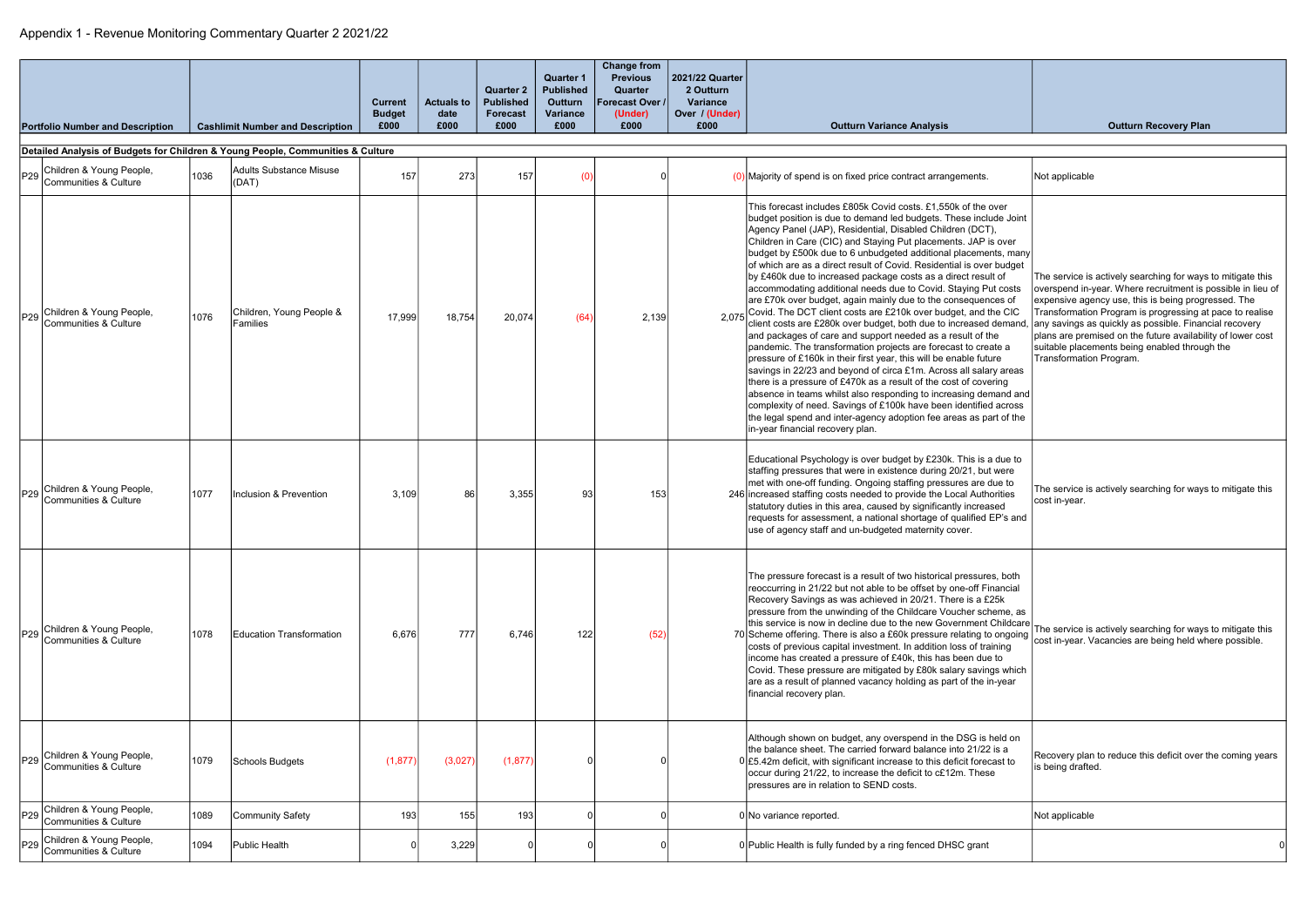|                 | <b>Portfolio Number and Description</b>                                         |      | <b>Cashlimit Number and Description</b> | <b>Current</b><br><b>Budget</b><br>£000 | <b>Actuals to</b><br>date<br>£000 | <b>Quarter 2</b><br><b>Published</b><br><b>Forecast</b><br>£000 | <b>Quarter 1</b><br><b>Published</b><br><b>Outturn</b><br>Variance<br>£000 | <b>Change from</b><br><b>Previous</b><br>Quarter<br><b>Forecast Over /</b><br>(Under)<br>£000 | 2021/22 Quarter<br>2 Outturn<br>Variance<br>Over / (Under)<br>£000 | <b>Outturn Variance Analysis</b>                                                                                                                                                                                                                                                                                                                                                                                                                                                                                                                                                                                                                                                                                                                                                                                                                                                                                                                                                                                                                                                                                                                                                                                                                                                                                                                             | <b>Outturn Recovery Plan</b>                                                                                                                                                                                                                                                                                                                                                                                                                       |
|-----------------|---------------------------------------------------------------------------------|------|-----------------------------------------|-----------------------------------------|-----------------------------------|-----------------------------------------------------------------|----------------------------------------------------------------------------|-----------------------------------------------------------------------------------------------|--------------------------------------------------------------------|--------------------------------------------------------------------------------------------------------------------------------------------------------------------------------------------------------------------------------------------------------------------------------------------------------------------------------------------------------------------------------------------------------------------------------------------------------------------------------------------------------------------------------------------------------------------------------------------------------------------------------------------------------------------------------------------------------------------------------------------------------------------------------------------------------------------------------------------------------------------------------------------------------------------------------------------------------------------------------------------------------------------------------------------------------------------------------------------------------------------------------------------------------------------------------------------------------------------------------------------------------------------------------------------------------------------------------------------------------------|----------------------------------------------------------------------------------------------------------------------------------------------------------------------------------------------------------------------------------------------------------------------------------------------------------------------------------------------------------------------------------------------------------------------------------------------------|
|                 | Detailed Analysis of Budgets for Children & Young People, Communities & Culture |      |                                         |                                         |                                   |                                                                 |                                                                            |                                                                                               |                                                                    |                                                                                                                                                                                                                                                                                                                                                                                                                                                                                                                                                                                                                                                                                                                                                                                                                                                                                                                                                                                                                                                                                                                                                                                                                                                                                                                                                              |                                                                                                                                                                                                                                                                                                                                                                                                                                                    |
| P <sub>29</sub> | Children & Young People,<br>Communities & Culture                               | 1036 | <b>Adults Substance Misuse</b><br>(DAT) | 157                                     | 273                               | 157                                                             |                                                                            |                                                                                               |                                                                    | $(0)$ Majority of spend is on fixed price contract arrangements.                                                                                                                                                                                                                                                                                                                                                                                                                                                                                                                                                                                                                                                                                                                                                                                                                                                                                                                                                                                                                                                                                                                                                                                                                                                                                             | Not applicable                                                                                                                                                                                                                                                                                                                                                                                                                                     |
| P29             | Children & Young People,<br>Communities & Culture                               | 1076 | Children, Young People &<br>Families    | 17,999                                  | 18,754                            | 20,074                                                          | (64)                                                                       | 2,139                                                                                         |                                                                    | This forecast includes £805k Covid costs, £1,550k of the over<br>budget position is due to demand led budgets. These include Joint<br>Agency Panel (JAP), Residential, Disabled Children (DCT),<br>Children in Care (CIC) and Staying Put placements. JAP is over<br>budget by £500k due to 6 unbudgeted additional placements, many<br>of which are as a direct result of Covid. Residential is over budget<br>by £460k due to increased package costs as a direct result of<br>accommodating additional needs due to Covid. Staying Put costs<br>are £70k over budget, again mainly due to the consequences of<br>2.075 Covid. The DCT client costs are £210k over budget, and the CIC<br>client costs are £280k over budget, both due to increased demand<br>and packages of care and support needed as a result of the<br>pandemic. The transformation projects are forecast to create a<br>pressure of £160k in their first year, this will be enable future<br>savings in 22/23 and beyond of circa £1m. Across all salary areas<br>there is a pressure of £470k as a result of the cost of covering<br>absence in teams whilst also responding to increasing demand and<br>complexity of need. Savings of £100k have been identified across<br>the legal spend and inter-agency adoption fee areas as part of the<br>in-year financial recovery plan. | The service is actively searching for ways to mitigate this<br>overspend in-year. Where recruitment is possible in lieu of<br>expensive agency use, this is being progressed. The<br>Transformation Program is progressing at pace to realise<br>any savings as quickly as possible. Financial recovery<br>plans are premised on the future availability of lower cost<br>suitable placements being enabled through the<br>Transformation Program. |
| P29             | Children & Young People,<br>Communities & Culture                               | 1077 | Inclusion & Prevention                  | 3,109                                   | 86                                | 3,355                                                           | 93                                                                         | 153                                                                                           |                                                                    | Educational Psychology is over budget by £230k. This is a due to<br>staffing pressures that were in existence during 20/21, but were<br>met with one-off funding. Ongoing staffing pressures are due to<br>246 increased staffing costs needed to provide the Local Authorities<br>statutory duties in this area, caused by significantly increased<br>requests for assessment, a national shortage of qualified EP's and<br>use of agency staff and un-budgeted maternity cover.                                                                                                                                                                                                                                                                                                                                                                                                                                                                                                                                                                                                                                                                                                                                                                                                                                                                            | The service is actively searching for ways to mitigate this<br>cost in-year.                                                                                                                                                                                                                                                                                                                                                                       |
| P29             | Children & Young People,<br>Communities & Culture                               | 1078 | Education Transformation                | 6,676                                   | 777                               | 6,746                                                           | 122                                                                        | (52)                                                                                          |                                                                    | The pressure forecast is a result of two historical pressures, both<br>reoccurring in 21/22 but not able to be offset by one-off Financial<br>Recovery Savings as was achieved in 20/21. There is a £25k<br>pressure from the unwinding of the Childcare Voucher scheme, as<br>this service is now in decline due to the new Government Childcare<br>70 Scheme offering. There is also a £60k pressure relating to ongoing   www.componers. Vacancies are being held where possible.<br>costs of previous capital investment. In addition loss of training<br>income has created a pressure of £40k, this has been due to<br>Covid. These pressure are mitigated by £80k salary savings which<br>are as a result of planned vacancy holding as part of the in-year<br>financial recovery plan.                                                                                                                                                                                                                                                                                                                                                                                                                                                                                                                                                               | The service is actively searching for ways to mitigate this                                                                                                                                                                                                                                                                                                                                                                                        |
| P29             | Children & Young People,<br>Communities & Culture                               | 1079 | Schools Budgets                         | (1, 877)                                | (3,027)                           | (1, 877)                                                        |                                                                            |                                                                                               |                                                                    | Although shown on budget, any overspend in the DSG is held on<br>the balance sheet. The carried forward balance into 21/22 is a<br>$0 \times 5.42$ m deficit, with significant increase to this deficit forecast to<br>occur during 21/22, to increase the deficit to c£12m. These<br>pressures are in relation to SEND costs.                                                                                                                                                                                                                                                                                                                                                                                                                                                                                                                                                                                                                                                                                                                                                                                                                                                                                                                                                                                                                               | Recovery plan to reduce this deficit over the coming years<br>is being drafted.                                                                                                                                                                                                                                                                                                                                                                    |
| P <sub>29</sub> | Children & Young People,<br>Communities & Culture                               | 1089 | Community Safety                        | 193                                     | 155                               | 193                                                             |                                                                            |                                                                                               |                                                                    | 0 No variance reported.                                                                                                                                                                                                                                                                                                                                                                                                                                                                                                                                                                                                                                                                                                                                                                                                                                                                                                                                                                                                                                                                                                                                                                                                                                                                                                                                      | Not applicable                                                                                                                                                                                                                                                                                                                                                                                                                                     |
|                 | P29 Children & Young People,<br>Communities & Culture                           | 1094 | Public Health                           |                                         | 3,229                             |                                                                 |                                                                            |                                                                                               |                                                                    | 0 Public Health is fully funded by a ring fenced DHSC grant                                                                                                                                                                                                                                                                                                                                                                                                                                                                                                                                                                                                                                                                                                                                                                                                                                                                                                                                                                                                                                                                                                                                                                                                                                                                                                  |                                                                                                                                                                                                                                                                                                                                                                                                                                                    |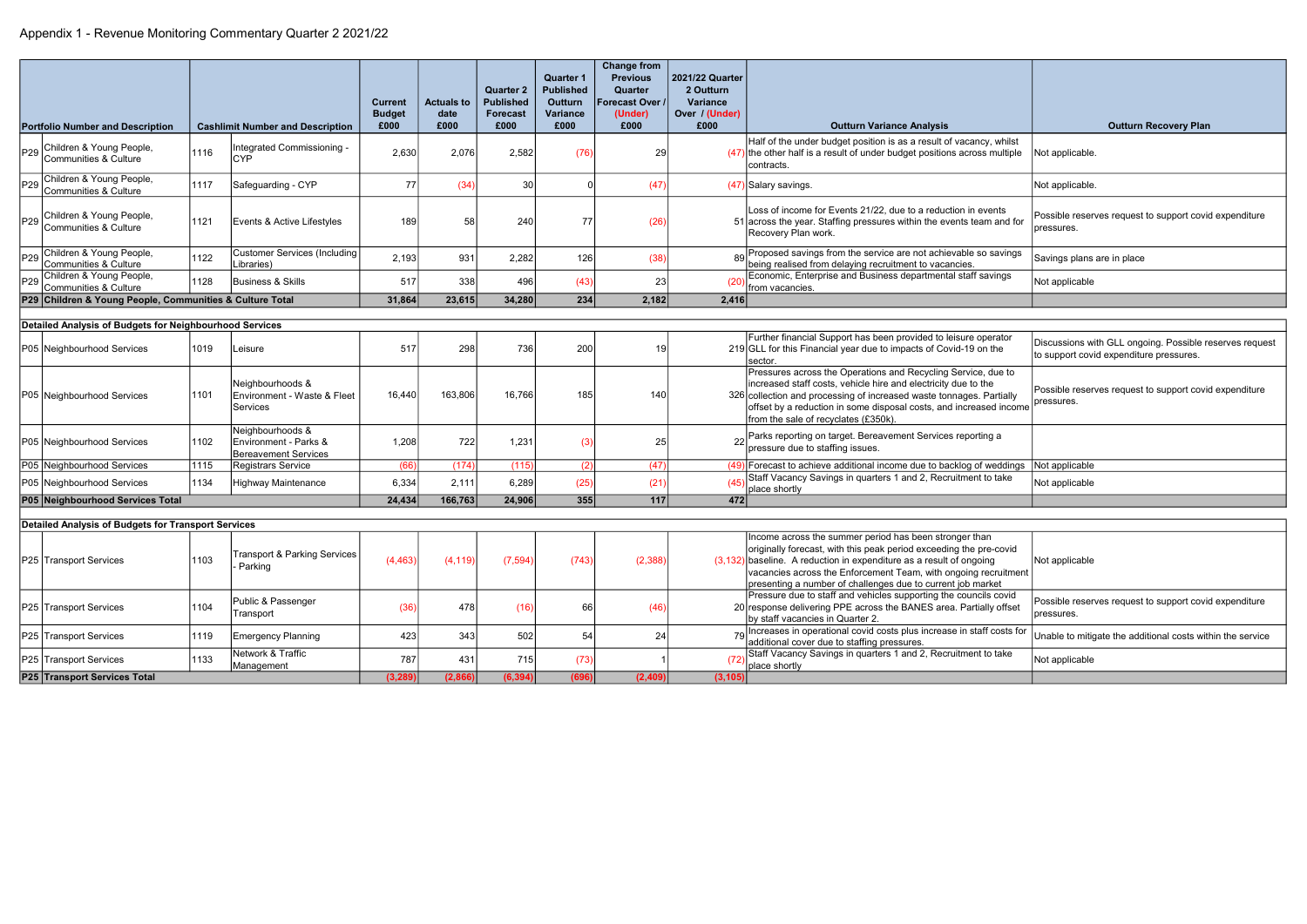|                 | <b>Portfolio Number and Description</b>                    |      | <b>Cashlimit Number and Description</b>                                  | <b>Current</b><br><b>Budget</b><br>£000 | <b>Actuals to</b><br>date<br>£000 | <b>Quarter 2</b><br><b>Published</b><br><b>Forecast</b><br>£000 | <b>Quarter 1</b><br><b>Published</b><br><b>Outturn</b><br>Variance<br>£000 | <b>Change from</b><br><b>Previous</b><br>Quarter<br>Forecast Over /<br>(Under)<br>£000 | 2021/22 Quarter<br>2 Outturn<br><b>Variance</b><br>Over / (Under)<br>£000 | <b>Outturn Variance Analysis</b>                                                                                                                                                                                                                                                                                                        | <b>Outturn Recovery Plan</b>                                                                       |
|-----------------|------------------------------------------------------------|------|--------------------------------------------------------------------------|-----------------------------------------|-----------------------------------|-----------------------------------------------------------------|----------------------------------------------------------------------------|----------------------------------------------------------------------------------------|---------------------------------------------------------------------------|-----------------------------------------------------------------------------------------------------------------------------------------------------------------------------------------------------------------------------------------------------------------------------------------------------------------------------------------|----------------------------------------------------------------------------------------------------|
| P <sub>29</sub> | Children & Young People,<br>Communities & Culture          | 1116 | Integrated Commissioning -<br><b>CYP</b>                                 | 2,630                                   | 2,076                             | 2,582                                                           | (76)                                                                       | 29                                                                                     |                                                                           | Half of the under budget position is as a result of vacancy, whilst<br>$(47)$ the other half is a result of under budget positions across multiple<br>contracts.                                                                                                                                                                        | Not applicable                                                                                     |
| P <sub>29</sub> | Children & Young People,<br>Communities & Culture          | 1117 | Safeguarding - CYP                                                       | 77                                      | (34)                              | 30                                                              |                                                                            | (47)                                                                                   |                                                                           | $(47)$ Salary savings.                                                                                                                                                                                                                                                                                                                  | Not applicable.                                                                                    |
|                 | P29 Children & Young People,<br>P29 Communities & Culture  | 1121 | Events & Active Lifestyles                                               | 189                                     | 58                                | 240                                                             | 77                                                                         | (26)                                                                                   |                                                                           | Loss of income for Events 21/22, due to a reduction in events<br>51 across the year. Staffing pressures within the events team and for<br>Recovery Plan work.                                                                                                                                                                           | Possible reserves request to support covid expenditure<br>pressures.                               |
| P29             | Children & Young People,<br>Communities & Culture          | 1122 | <b>Customer Services (Including</b><br>Libraries)                        | 2,193                                   | 931                               | 2,282                                                           | 126                                                                        | (38)                                                                                   |                                                                           | 80 Proposed savings from the service are not achievable so savings<br>being realised from delaying recruitment to vacancies.                                                                                                                                                                                                            | Savings plans are in place                                                                         |
| P <sub>29</sub> | Children & Young People,<br>Communities & Culture          | 1128 | <b>Business &amp; Skills</b>                                             | 517                                     | 338                               | 496                                                             | (43)                                                                       | 23                                                                                     |                                                                           | Economic, Enterprise and Business departmental staff savings<br>from vacancies.                                                                                                                                                                                                                                                         | Not applicable                                                                                     |
|                 | P29 Children & Young People, Communities & Culture Total   |      |                                                                          | 31,864                                  | 23,615                            | 34,280                                                          | 234                                                                        | 2,182                                                                                  | 2,416                                                                     |                                                                                                                                                                                                                                                                                                                                         |                                                                                                    |
|                 | Detailed Analysis of Budgets for Neighbourhood Services    |      |                                                                          |                                         |                                   |                                                                 |                                                                            |                                                                                        |                                                                           |                                                                                                                                                                                                                                                                                                                                         |                                                                                                    |
|                 | P05 Neighbourhood Services                                 | 1019 | Leisure                                                                  | 517                                     | 298                               | 736                                                             | 200                                                                        | 19                                                                                     |                                                                           | Further financial Support has been provided to leisure operator<br>219 GLL for this Financial year due to impacts of Covid-19 on the<br>sector.                                                                                                                                                                                         | Discussions with GLL ongoing. Possible reserves request<br>to support covid expenditure pressures. |
|                 | P05 Neighbourhood Services                                 | 1101 | Neighbourhoods &<br>Environment - Waste & Fleet<br><b>Services</b>       | 16,440                                  | 163,806                           | 16,766                                                          | 185                                                                        | 140                                                                                    |                                                                           | Pressures across the Operations and Recycling Service, due to<br>increased staff costs, vehicle hire and electricity due to the<br>326 collection and processing of increased waste tonnages. Partially<br>offset by a reduction in some disposal costs, and increased income<br>from the sale of recyclates (£350k).                   | Possible reserves request to support covid expenditure<br>pressures.                               |
|                 | P05 Neighbourhood Services                                 | 1102 | Neighbourhoods &<br>Environment - Parks &<br><b>Bereavement Services</b> | 1,208                                   | 722                               | 1,231                                                           |                                                                            | 25                                                                                     |                                                                           | 22 Parks reporting on target. Bereavement Services reporting a<br>pressure due to staffing issues.                                                                                                                                                                                                                                      |                                                                                                    |
|                 | P05 Neighbourhood Services                                 | 1115 | <b>Registrars Service</b>                                                | (66)                                    | (174)                             | (115)                                                           | (2)                                                                        | (47)                                                                                   |                                                                           | (49) Forecast to achieve additional income due to backlog of weddings                                                                                                                                                                                                                                                                   | Not applicable                                                                                     |
|                 | P05 Neighbourhood Services                                 | 1134 | <b>Highway Maintenance</b>                                               | 6,334                                   | 2,111                             | 6,289                                                           | (25)                                                                       | (21)                                                                                   |                                                                           | Staff Vacancy Savings in quarters 1 and 2, Recruitment to take<br>place shortly                                                                                                                                                                                                                                                         | Not applicable                                                                                     |
|                 | P05 Neighbourhood Services Total                           |      |                                                                          | 24,434                                  | 166,763                           | 24,906                                                          | 355                                                                        | $\overline{117}$                                                                       | 472                                                                       |                                                                                                                                                                                                                                                                                                                                         |                                                                                                    |
|                 | <b>Detailed Analysis of Budgets for Transport Services</b> |      |                                                                          |                                         |                                   |                                                                 |                                                                            |                                                                                        |                                                                           |                                                                                                                                                                                                                                                                                                                                         |                                                                                                    |
|                 | P25 Transport Services                                     | 1103 | <b>Transport &amp; Parking Services</b><br>- Parking                     | (4, 463)                                | (4, 119)                          | (7, 594)                                                        | (743)                                                                      | (2, 388)                                                                               |                                                                           | Income across the summer period has been stronger than<br>originally forecast, with this peak period exceeding the pre-covid<br>$(3,132)$ baseline. A reduction in expenditure as a result of ongoing<br>vacancies across the Enforcement Team, with ongoing recruitment<br>presenting a number of challenges due to current job market | Not applicable                                                                                     |
|                 | P25 Transport Services                                     | 1104 | Public & Passenger<br>Transport                                          | (36)                                    | 478                               | (16)                                                            | 66                                                                         | (46)                                                                                   |                                                                           | Pressure due to staff and vehicles supporting the councils covid<br>20 response delivering PPE across the BANES area. Partially offset<br>by staff vacancies in Quarter 2.                                                                                                                                                              | Possible reserves request to support covid expenditure<br>pressures.                               |
|                 | P25 Transport Services                                     | 1119 | <b>Emergency Planning</b>                                                | 423                                     | 343                               | 502                                                             | 54                                                                         | 24                                                                                     |                                                                           | 79 Increases in operational covid costs plus increase in staff costs for<br>additional cover due to staffing pressures.                                                                                                                                                                                                                 | Unable to mitigate the additional costs within the service                                         |
|                 | P25 Transport Services                                     | 1133 | Network & Traffic<br>Management                                          | 787                                     | 431                               | 715                                                             | (73)                                                                       |                                                                                        |                                                                           | Staff Vacancy Savings in quarters 1 and 2, Recruitment to take<br>place shortly                                                                                                                                                                                                                                                         | Not applicable                                                                                     |
|                 | P25 Transport Services Total                               |      |                                                                          | (3, 289)                                | (2,866)                           | (6, 394)                                                        | (696)                                                                      | (2, 409)                                                                               | (3, 105)                                                                  |                                                                                                                                                                                                                                                                                                                                         |                                                                                                    |